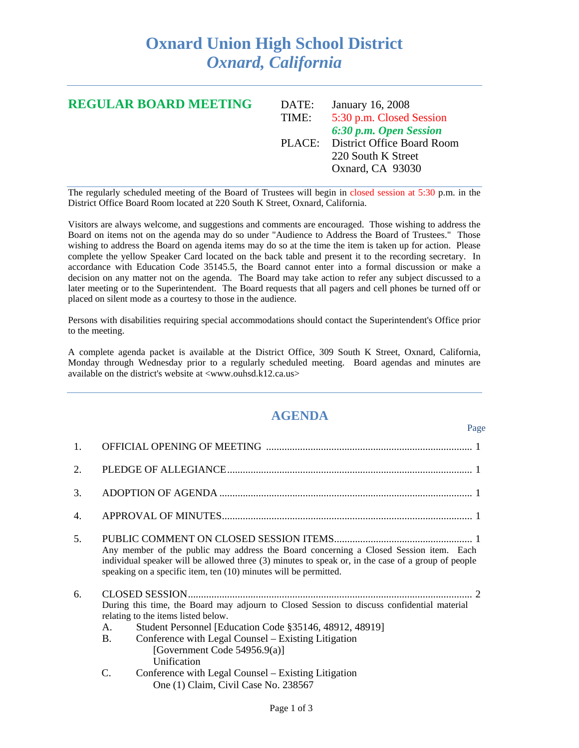## **Oxnard Union High School District**  *Oxnard, California*

| <b>REGULAR BOARD MEETING</b> | DATE: | January 16, 2008                  |
|------------------------------|-------|-----------------------------------|
|                              | TIME: | 5:30 p.m. Closed Session          |
|                              |       | 6:30 p.m. Open Session            |
|                              |       | PLACE: District Office Board Room |
|                              |       | 220 South K Street                |
|                              |       | Oxnard, CA 93030                  |
|                              |       |                                   |

The regularly scheduled meeting of the Board of Trustees will begin in closed session at 5:30 p.m. in the District Office Board Room located at 220 South K Street, Oxnard, California.

Visitors are always welcome, and suggestions and comments are encouraged. Those wishing to address the Board on items not on the agenda may do so under "Audience to Address the Board of Trustees." Those wishing to address the Board on agenda items may do so at the time the item is taken up for action. Please complete the yellow Speaker Card located on the back table and present it to the recording secretary. In accordance with Education Code 35145.5, the Board cannot enter into a formal discussion or make a decision on any matter not on the agenda. The Board may take action to refer any subject discussed to a later meeting or to the Superintendent. The Board requests that all pagers and cell phones be turned off or placed on silent mode as a courtesy to those in the audience.

Persons with disabilities requiring special accommodations should contact the Superintendent's Office prior to the meeting.

A complete agenda packet is available at the District Office, 309 South K Street, Oxnard, California, Monday through Wednesday prior to a regularly scheduled meeting. Board agendas and minutes are available on the district's website at <www.ouhsd.k12.ca.us>

## **AGENDA**

Page

| 1.               |                                                                                                                                                                                                                                                                                                                          |
|------------------|--------------------------------------------------------------------------------------------------------------------------------------------------------------------------------------------------------------------------------------------------------------------------------------------------------------------------|
| $\overline{2}$ . |                                                                                                                                                                                                                                                                                                                          |
| 3.               |                                                                                                                                                                                                                                                                                                                          |
| 4.               |                                                                                                                                                                                                                                                                                                                          |
| .5.              | Any member of the public may address the Board concerning a Closed Session item. Each<br>individual speaker will be allowed three (3) minutes to speak or, in the case of a group of people<br>speaking on a specific item, ten (10) minutes will be permitted.                                                          |
| 6.               | During this time, the Board may adjourn to Closed Session to discuss confidential material<br>relating to the items listed below.<br>Student Personnel [Education Code §35146, 48912, 48919]<br>A.<br><b>B.</b><br>Conference with Legal Counsel – Existing Litigation<br>[Government Code $54956.9(a)$ ]<br>Unification |
|                  | C.<br>Conference with Legal Counsel – Existing Litigation<br>One (1) Claim, Civil Case No. 238567                                                                                                                                                                                                                        |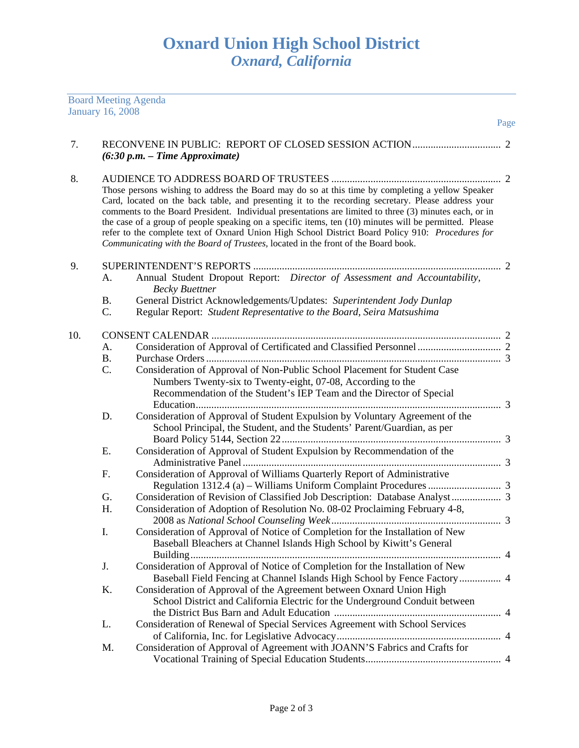Board Meeting Agenda

|     | <b>January 16, 2008</b> |                                                                                                                                                                                                                                                                                                                                                                                                                                                                                                                                                                                                                     |      |
|-----|-------------------------|---------------------------------------------------------------------------------------------------------------------------------------------------------------------------------------------------------------------------------------------------------------------------------------------------------------------------------------------------------------------------------------------------------------------------------------------------------------------------------------------------------------------------------------------------------------------------------------------------------------------|------|
| 7.  |                         |                                                                                                                                                                                                                                                                                                                                                                                                                                                                                                                                                                                                                     | Page |
|     |                         | $(6:30 p.m. - Time Approximate)$                                                                                                                                                                                                                                                                                                                                                                                                                                                                                                                                                                                    |      |
| 8.  |                         | Those persons wishing to address the Board may do so at this time by completing a yellow Speaker<br>Card, located on the back table, and presenting it to the recording secretary. Please address your<br>comments to the Board President. Individual presentations are limited to three (3) minutes each, or in<br>the case of a group of people speaking on a specific items, ten (10) minutes will be permitted. Please<br>refer to the complete text of Oxnard Union High School District Board Policy 910: Procedures for<br>Communicating with the Board of Trustees, located in the front of the Board book. |      |
| 9.  | А.                      | Annual Student Dropout Report: Director of Assessment and Accountability,<br><b>Becky Buettner</b>                                                                                                                                                                                                                                                                                                                                                                                                                                                                                                                  |      |
|     | <b>B.</b><br>C.         | General District Acknowledgements/Updates: Superintendent Jody Dunlap<br>Regular Report: Student Representative to the Board, Seira Matsushima                                                                                                                                                                                                                                                                                                                                                                                                                                                                      |      |
| 10. |                         |                                                                                                                                                                                                                                                                                                                                                                                                                                                                                                                                                                                                                     |      |
|     | A.                      |                                                                                                                                                                                                                                                                                                                                                                                                                                                                                                                                                                                                                     |      |
|     | <b>B.</b>               |                                                                                                                                                                                                                                                                                                                                                                                                                                                                                                                                                                                                                     |      |
|     | C.                      | Consideration of Approval of Non-Public School Placement for Student Case<br>Numbers Twenty-six to Twenty-eight, 07-08, According to the<br>Recommendation of the Student's IEP Team and the Director of Special                                                                                                                                                                                                                                                                                                                                                                                                    |      |
|     | D.                      | Consideration of Approval of Student Expulsion by Voluntary Agreement of the<br>School Principal, the Student, and the Students' Parent/Guardian, as per                                                                                                                                                                                                                                                                                                                                                                                                                                                            |      |
|     | Ε.                      | Consideration of Approval of Student Expulsion by Recommendation of the                                                                                                                                                                                                                                                                                                                                                                                                                                                                                                                                             |      |
|     | F.                      | Consideration of Approval of Williams Quarterly Report of Administrative                                                                                                                                                                                                                                                                                                                                                                                                                                                                                                                                            |      |
|     | G.                      |                                                                                                                                                                                                                                                                                                                                                                                                                                                                                                                                                                                                                     |      |
|     | Η.                      | Consideration of Adoption of Resolution No. 08-02 Proclaiming February 4-8,                                                                                                                                                                                                                                                                                                                                                                                                                                                                                                                                         |      |
|     | Ι.                      | Consideration of Approval of Notice of Completion for the Installation of New<br>Baseball Bleachers at Channel Islands High School by Kiwitt's General                                                                                                                                                                                                                                                                                                                                                                                                                                                              |      |
|     | J.                      | Consideration of Approval of Notice of Completion for the Installation of New<br>Baseball Field Fencing at Channel Islands High School by Fence Factory 4                                                                                                                                                                                                                                                                                                                                                                                                                                                           |      |
|     | Κ.                      | Consideration of Approval of the Agreement between Oxnard Union High<br>School District and California Electric for the Underground Conduit between                                                                                                                                                                                                                                                                                                                                                                                                                                                                 |      |
|     | L.                      | Consideration of Renewal of Special Services Agreement with School Services                                                                                                                                                                                                                                                                                                                                                                                                                                                                                                                                         |      |
|     | M.                      | Consideration of Approval of Agreement with JOANN'S Fabrics and Crafts for                                                                                                                                                                                                                                                                                                                                                                                                                                                                                                                                          |      |